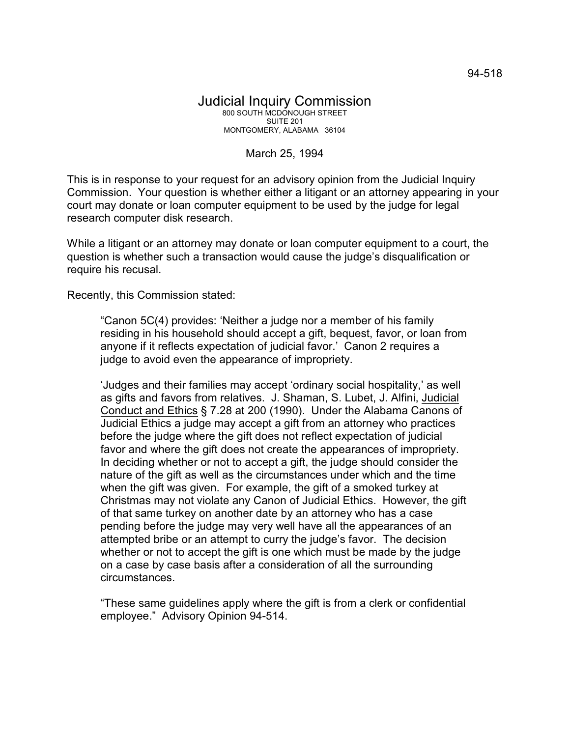## March 25, 1994

This is in response to your request for an advisory opinion from the Judicial Inquiry Commission. Your question is whether either a litigant or an attorney appearing in your court may donate or loan computer equipment to be used by the judge for legal research computer disk research.

While a litigant or an attorney may donate or loan computer equipment to a court, the question is whether such a transaction would cause the judge's disqualification or require his recusal.

Recently, this Commission stated:

"Canon 5C(4) provides: 'Neither a judge nor a member of his family residing in his household should accept a gift, bequest, favor, or loan from anyone if it reflects expectation of judicial favor.' Canon 2 requires a judge to avoid even the appearance of impropriety.

'Judges and their families may accept 'ordinary social hospitality,' as well as gifts and favors from relatives. J. Shaman, S. Lubet, J. Alfini, Judicial Conduct and Ethics § 7.28 at 200 (1990). Under the Alabama Canons of Judicial Ethics a judge may accept a gift from an attorney who practices before the judge where the gift does not reflect expectation of judicial favor and where the gift does not create the appearances of impropriety. In deciding whether or not to accept a gift, the judge should consider the nature of the gift as well as the circumstances under which and the time when the gift was given. For example, the gift of a smoked turkey at Christmas may not violate any Canon of Judicial Ethics. However, the gift of that same turkey on another date by an attorney who has a case pending before the judge may very well have all the appearances of an attempted bribe or an attempt to curry the judge's favor. The decision whether or not to accept the gift is one which must be made by the judge on a case by case basis after a consideration of all the surrounding circumstances.

"These same guidelines apply where the gift is from a clerk or confidential employee." Advisory Opinion 94-514.